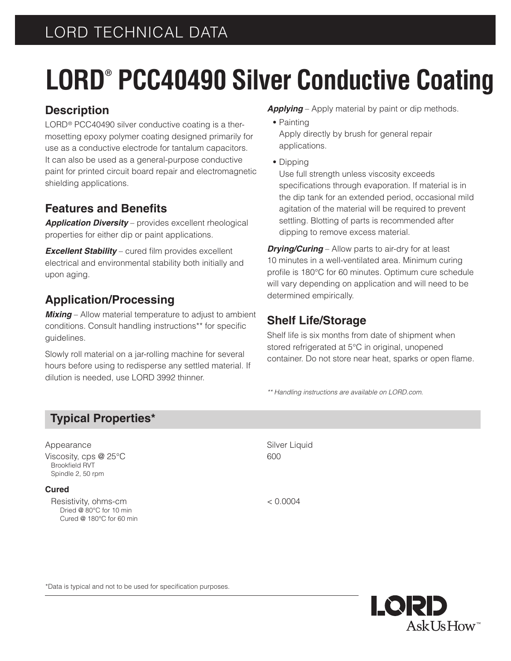## LORD TECHNICAL DATA

# **LORD® PCC40490 Silver Conductive Coating**

#### **Description**

LORD® PCC40490 silver conductive coating is a thermosetting epoxy polymer coating designed primarily for use as a conductive electrode for tantalum capacitors. It can also be used as a general-purpose conductive paint for printed circuit board repair and electromagnetic shielding applications.

#### **Features and Benefits**

*Application Diversity* – provides excellent rheological properties for either dip or paint applications.

*Excellent Stability* – cured film provides excellent electrical and environmental stability both initially and upon aging.

### **Application/Processing**

*Mixing* – Allow material temperature to adjust to ambient conditions. Consult handling instructions\*\* for specific guidelines.

Slowly roll material on a jar-rolling machine for several hours before using to redisperse any settled material. If dilution is needed, use LORD 3992 thinner.

- *Applying* Apply material by paint or dip methods.
	- **•** Painting Apply directly by brush for general repair applications.
- **•** Dipping

Use full strength unless viscosity exceeds specifications through evaporation. If material is in the dip tank for an extended period, occasional mild agitation of the material will be required to prevent settling. Blotting of parts is recommended after dipping to remove excess material.

*Drying/Curing* – Allow parts to air-dry for at least 10 minutes in a well-ventilated area. Minimum curing profile is 180°C for 60 minutes. Optimum cure schedule will vary depending on application and will need to be determined empirically.

### **Shelf Life/Storage**

Shelf life is six months from date of shipment when stored refrigerated at 5°C in original, unopened container. Do not store near heat, sparks or open flame.

*\*\* Handling instructions are available on LORD.com.*

### **Typical Properties\***

| Appearance                                                               | Silver Liquid |
|--------------------------------------------------------------------------|---------------|
| Viscosity, cps $@$ 25 $°C$<br><b>Brookfield RVT</b><br>Spindle 2, 50 rpm | 600           |
| <b>Cured</b>                                                             |               |
| Resistivity, ohms-cm                                                     | < 0.0004      |

 Dried @ 80°C for 10 min Cured @ 180°C for 60 min

> LQRD AskUsHow<sup>™</sup>

\*Data is typical and not to be used for specification purposes.